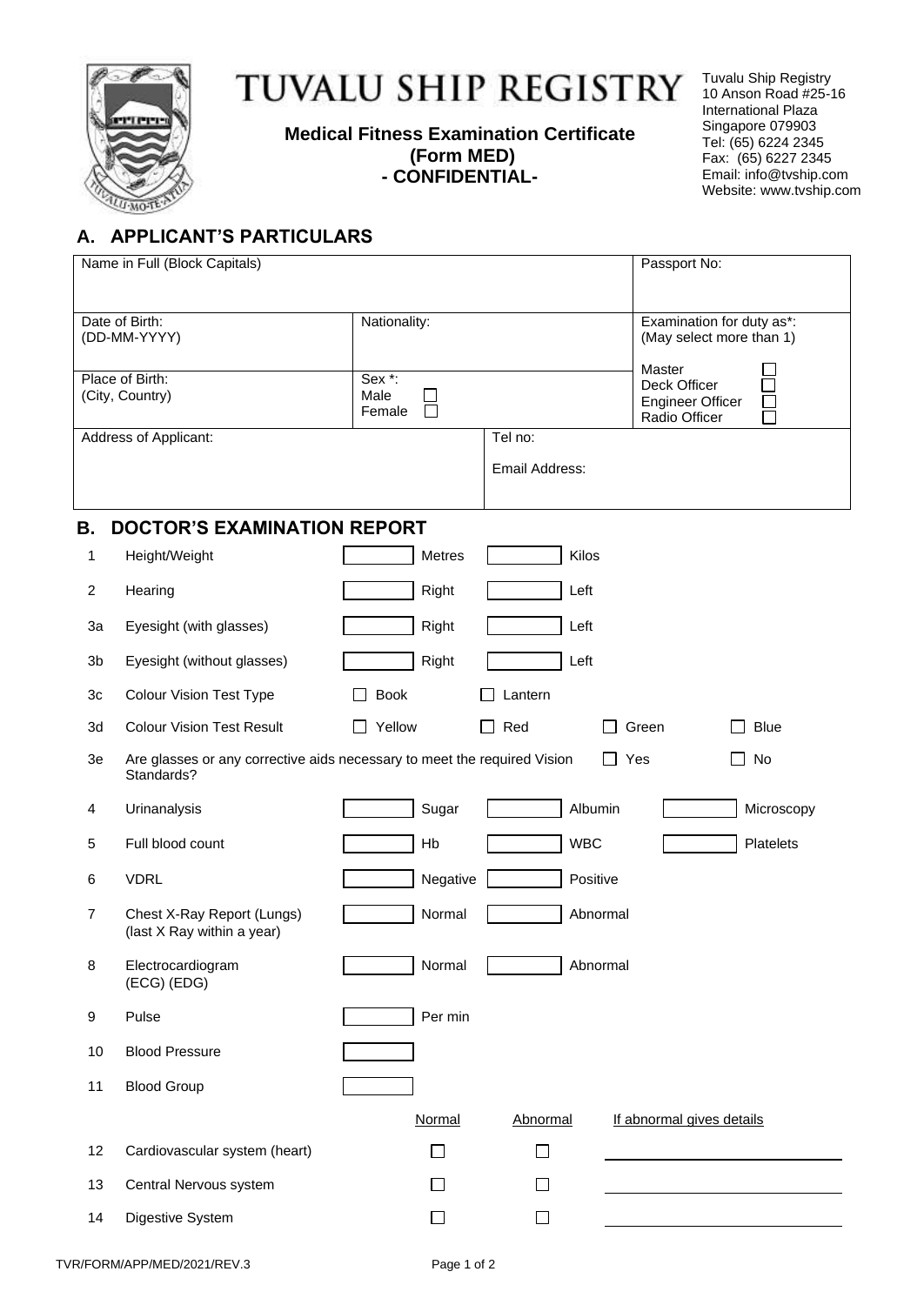

## TUVALU SHIP REGISTRY

**Medical Fitness Examination Certificate (Form MED) - CONFIDENTIAL-**

Tuvalu Ship Registry 10 Anson Road #25-16 International Plaza Singapore 079903 Tel: (65) 6224 2345 Fax: (65) 6227 2345 Email: info@tvship.com Website: [www.t](http://www.mgnship.mn/)vship.com

## **A. APPLICANT'S PARTICULARS**

| Name in Full (Block Capitals)      |                                                                                        |                                           |                           | Passport No:                                                       |  |  |
|------------------------------------|----------------------------------------------------------------------------------------|-------------------------------------------|---------------------------|--------------------------------------------------------------------|--|--|
|                                    | Date of Birth:<br>(DD-MM-YYYY)                                                         | Nationality:                              |                           | Examination for duty as*:<br>(May select more than 1)              |  |  |
| Place of Birth:<br>(City, Country) |                                                                                        | Sex <sup>*</sup> :<br>Male<br>П<br>Female |                           | Master<br>Deck Officer<br><b>Engineer Officer</b><br>Radio Officer |  |  |
|                                    | Address of Applicant:                                                                  |                                           | Tel no:<br>Email Address: |                                                                    |  |  |
| В.                                 | <b>DOCTOR'S EXAMINATION REPORT</b>                                                     |                                           |                           |                                                                    |  |  |
| 1                                  | Height/Weight                                                                          | Metres                                    | Kilos                     |                                                                    |  |  |
| $\overline{c}$                     | Hearing                                                                                | Right                                     | Left                      |                                                                    |  |  |
| 3a                                 | Eyesight (with glasses)                                                                | Right                                     | Left                      |                                                                    |  |  |
| 3b                                 | Eyesight (without glasses)                                                             | Right                                     | Left                      |                                                                    |  |  |
| 3c                                 | <b>Colour Vision Test Type</b>                                                         | <b>Book</b>                               | Lantern                   |                                                                    |  |  |
| 3d                                 | <b>Colour Vision Test Result</b>                                                       | Yellow                                    | Red<br>$\blacksquare$     | Green<br><b>Blue</b>                                               |  |  |
| 3e                                 | Are glasses or any corrective aids necessary to meet the required Vision<br>Standards? |                                           |                           | $\Box$ Yes<br>No                                                   |  |  |
| 4                                  | Urinanalysis                                                                           | Sugar                                     | Albumin                   | Microscopy                                                         |  |  |
| 5                                  | Full blood count                                                                       | Hb                                        | <b>WBC</b>                | Platelets                                                          |  |  |
| 6                                  | <b>VDRL</b>                                                                            | Negative                                  | Positive                  |                                                                    |  |  |
| 7                                  | Chest X-Ray Report (Lungs)<br>(last X Ray within a year)                               | Normal                                    |                           | Abnormal                                                           |  |  |
| 8                                  | Electrocardiogram<br>(ECG) (EDG)                                                       | Normal                                    |                           | Abnormal                                                           |  |  |
| 9                                  | Pulse                                                                                  | Per min                                   |                           |                                                                    |  |  |
| 10                                 | <b>Blood Pressure</b>                                                                  |                                           |                           |                                                                    |  |  |
| 11                                 | <b>Blood Group</b>                                                                     |                                           |                           |                                                                    |  |  |
|                                    |                                                                                        | Normal                                    | Abnormal                  | If abnormal gives details                                          |  |  |
| 12                                 | Cardiovascular system (heart)                                                          | П                                         | П                         |                                                                    |  |  |
| 13                                 | Central Nervous system                                                                 |                                           |                           |                                                                    |  |  |
| 14                                 | Digestive System                                                                       | $\Box$                                    | ⊔                         |                                                                    |  |  |